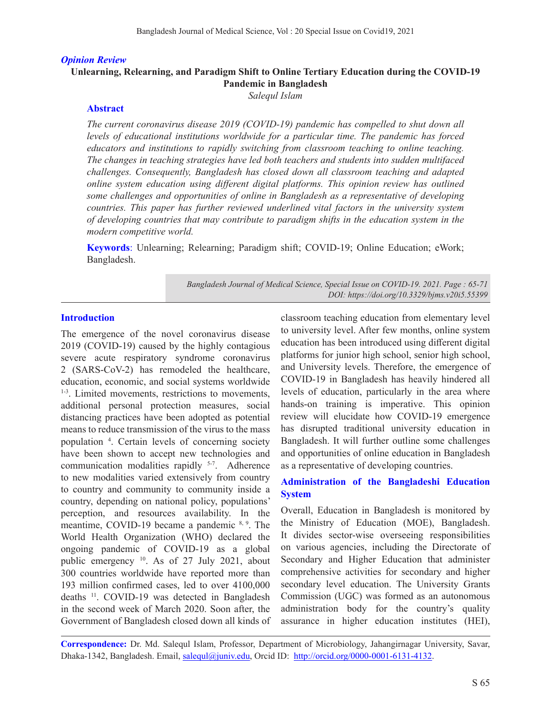#### *Opinion Review*

## **Unlearning, Relearning, and Paradigm Shift to Online Tertiary Education during the COVID-19 Pandemic in Bangladesh**

*Salequl Islam*

#### **Abstract**

*The current coronavirus disease 2019 (COVID-19) pandemic has compelled to shut down all levels of educational institutions worldwide for a particular time. The pandemic has forced educators and institutions to rapidly switching from classroom teaching to online teaching. The changes in teaching strategies have led both teachers and students into sudden multifaced challenges. Consequently, Bangladesh has closed down all classroom teaching and adapted online system education using different digital platforms. This opinion review has outlined some challenges and opportunities of online in Bangladesh as a representative of developing countries. This paper has further reviewed underlined vital factors in the university system of developing countries that may contribute to paradigm shifts in the education system in the modern competitive world.*

**Keywords**: Unlearning; Relearning; Paradigm shift; COVID-19; Online Education; eWork; Bangladesh.

> *Bangladesh Journal of Medical Science, Special Issue on COVID-19. 2021. Page : 65-71 DOI: https://doi.org/10.3329/bjms.v20i5.55399*

#### **Introduction**

The emergence of the novel coronavirus disease 2019 (COVID-19) caused by the highly contagious severe acute respiratory syndrome coronavirus 2 (SARS-CoV-2) has remodeled the healthcare, education, economic, and social systems worldwide <sup>1-3</sup>. Limited movements, restrictions to movements, additional personal protection measures, social distancing practices have been adopted as potential means to reduce transmission of the virus to the mass population 4 . Certain levels of concerning society have been shown to accept new technologies and communication modalities rapidly 5-7. Adherence to new modalities varied extensively from country to country and community to community inside a country, depending on national policy, populations' perception, and resources availability. In the meantime, COVID-19 became a pandemic 8, 9. The World Health Organization (WHO) declared the ongoing pandemic of COVID-19 as a global public emergency 10. As of 27 July 2021, about 300 countries worldwide have reported more than 193 million confirmed cases, led to over 4100,000 deaths 11. COVID-19 was detected in Bangladesh in the second week of March 2020. Soon after, the Government of Bangladesh closed down all kinds of classroom teaching education from elementary level to university level. After few months, online system education has been introduced using different digital platforms for junior high school, senior high school, and University levels. Therefore, the emergence of COVID-19 in Bangladesh has heavily hindered all levels of education, particularly in the area where hands-on training is imperative. This opinion review will elucidate how COVID-19 emergence has disrupted traditional university education in Bangladesh. It will further outline some challenges and opportunities of online education in Bangladesh as a representative of developing countries.

#### **Administration of the Bangladeshi Education System**

Overall, Education in Bangladesh is monitored by the Ministry of Education (MOE), Bangladesh. It divides sector-wise overseeing responsibilities on various agencies, including the Directorate of Secondary and Higher Education that administer comprehensive activities for secondary and higher secondary level education. The University Grants Commission (UGC) was formed as an autonomous administration body for the country's quality assurance in higher education institutes (HEI),

**Correspondence:** Dr. Md. Salequl Islam, Professor, Department of Microbiology, Jahangirnagar University, Savar, Dhaka-1342, Bangladesh. Email, salequl@juniv.edu, Orcid ID: http://orcid.org/0000-0001-6131-4132.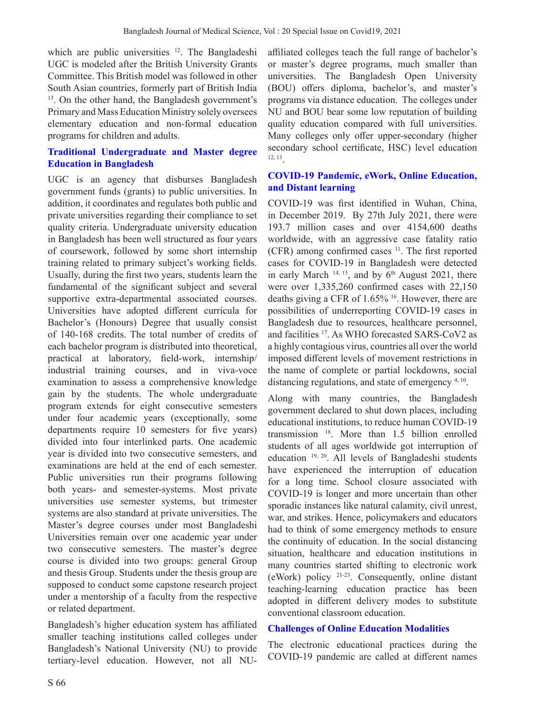which are public universities <sup>12</sup>. The Bangladeshi UGC is modeled after the British University Grants Committee. This British model was followed in other South Asian countries, formerly part of British India <sup>13</sup>. On the other hand, the Bangladesh government's Primary and Mass Education Ministry solely oversees elementary education and non-formal education programs for children and adults.

# **Traditional Undergraduate and Master degree Education in Bangladesh**

UGC is an agency that disburses Bangladesh government funds (grants) to public universities. In addition, it coordinates and regulates both public and private universities regarding their compliance to set quality criteria. Undergraduate university education in Bangladesh has been well structured as four years of coursework, followed by some short internship training related to primary subject's working fields. Usually, during the first two years, students learn the fundamental of the significant subject and several supportive extra-departmental associated courses. Universities have adopted different curricula for Bachelor's (Honours) Degree that usually consist of 140-168 credits. The total number of credits of each bachelor program is distributed into theoretical, practical at laboratory, field-work, internship/ industrial training courses, and in viva-voce examination to assess a comprehensive knowledge gain by the students. The whole undergraduate program extends for eight consecutive semesters under four academic years (exceptionally, some departments require 10 semesters for five years) divided into four interlinked parts. One academic year is divided into two consecutive semesters, and examinations are held at the end of each semester. Public universities run their programs following both years- and semester-systems. Most private universities use semester systems, but trimester systems are also standard at private universities. The Master's degree courses under most Bangladeshi Universities remain over one academic year under two consecutive semesters. The master's degree course is divided into two groups: general Group and thesis Group. Students under the thesis group are supposed to conduct some capstone research project under a mentorship of a faculty from the respective or related department.

Bangladesh's higher education system has affiliated smaller teaching institutions called colleges under Bangladesh's National University (NU) to provide tertiary-level education. However, not all NU-

affiliated colleges teach the full range of bachelor's or master's degree programs, much smaller than universities. The Bangladesh Open University (BOU) offers diploma, bachelor's, and master's programs via distance education. The colleges under NU and BOU bear some low reputation of building quality education compared with full universities. Many colleges only offer upper-secondary (higher secondary school certificate, HSC) level education 12, 13.

### **COVID-19 Pandemic, eWork, Online Education, and Distant learning**

COVID-19 was first identified in Wuhan, China, in December 2019. By 27th July 2021, there were 193.7 million cases and over 4154,600 deaths worldwide, with an aggressive case fatality ratio (CFR) among confirmed cases  $11$ . The first reported cases for COVID-19 in Bangladesh were detected in early March  $14, 15$ , and by  $6<sup>th</sup>$  August 2021, there were over 1,335,260 confirmed cases with 22,150 deaths giving a CFR of 1.65% 16. However, there are possibilities of underreporting COVID-19 cases in Bangladesh due to resources, healthcare personnel, and facilities 17. As WHO forecasted SARS-CoV2 as a highly contagious virus, countries all over the world imposed different levels of movement restrictions in the name of complete or partial lockdowns, social distancing regulations, and state of emergency 4, 10.

Along with many countries, the Bangladesh government declared to shut down places, including educational institutions, to reduce human COVID-19 transmission 18. More than 1.5 billion enrolled students of all ages worldwide got interruption of education 19, 20. All levels of Bangladeshi students have experienced the interruption of education for a long time. School closure associated with COVID-19 is longer and more uncertain than other sporadic instances like natural calamity, civil unrest, war, and strikes. Hence, policymakers and educators had to think of some emergency methods to ensure the continuity of education. In the social distancing situation, healthcare and education institutions in many countries started shifting to electronic work (eWork) policy 21-23. Consequently, online distant teaching-learning education practice has been adopted in different delivery modes to substitute conventional classroom education.

## **Challenges of Online Education Modalities**

The electronic educational practices during the COVID-19 pandemic are called at different names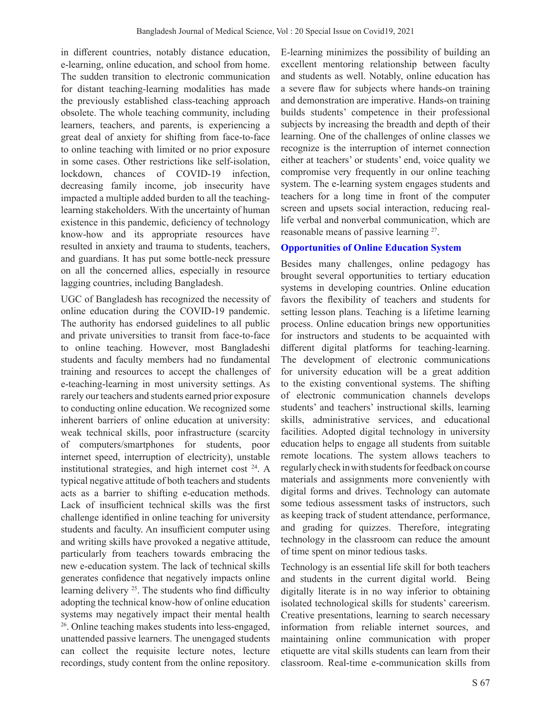in different countries, notably distance education, e-learning, online education, and school from home. The sudden transition to electronic communication for distant teaching-learning modalities has made the previously established class-teaching approach obsolete. The whole teaching community, including learners, teachers, and parents, is experiencing a great deal of anxiety for shifting from face-to-face to online teaching with limited or no prior exposure in some cases. Other restrictions like self-isolation, lockdown, chances of COVID-19 infection, decreasing family income, job insecurity have impacted a multiple added burden to all the teachinglearning stakeholders. With the uncertainty of human existence in this pandemic, deficiency of technology know-how and its appropriate resources have resulted in anxiety and trauma to students, teachers, and guardians. It has put some bottle-neck pressure on all the concerned allies, especially in resource lagging countries, including Bangladesh.

UGC of Bangladesh has recognized the necessity of online education during the COVID-19 pandemic. The authority has endorsed guidelines to all public and private universities to transit from face-to-face to online teaching. However, most Bangladeshi students and faculty members had no fundamental training and resources to accept the challenges of e-teaching-learning in most university settings. As rarely our teachers and students earned prior exposure to conducting online education. We recognized some inherent barriers of online education at university: weak technical skills, poor infrastructure (scarcity of computers/smartphones for students, poor internet speed, interruption of electricity), unstable institutional strategies, and high internet cost 24. A typical negative attitude of both teachers and students acts as a barrier to shifting e-education methods. Lack of insufficient technical skills was the first challenge identified in online teaching for university students and faculty. An insufficient computer using and writing skills have provoked a negative attitude, particularly from teachers towards embracing the new e-education system. The lack of technical skills generates confidence that negatively impacts online learning delivery <sup>25</sup>. The students who find difficulty adopting the technical know-how of online education systems may negatively impact their mental health 26. Online teaching makes students into less-engaged, unattended passive learners. The unengaged students can collect the requisite lecture notes, lecture recordings, study content from the online repository.

E-learning minimizes the possibility of building an excellent mentoring relationship between faculty and students as well. Notably, online education has a severe flaw for subjects where hands-on training and demonstration are imperative. Hands-on training builds students' competence in their professional subjects by increasing the breadth and depth of their learning. One of the challenges of online classes we recognize is the interruption of internet connection either at teachers' or students' end, voice quality we compromise very frequently in our online teaching system. The e-learning system engages students and teachers for a long time in front of the computer screen and upsets social interaction, reducing reallife verbal and nonverbal communication, which are reasonable means of passive learning 27.

## **Opportunities of Online Education System**

Besides many challenges, online pedagogy has brought several opportunities to tertiary education systems in developing countries. Online education favors the flexibility of teachers and students for setting lesson plans. Teaching is a lifetime learning process. Online education brings new opportunities for instructors and students to be acquainted with different digital platforms for teaching-learning. The development of electronic communications for university education will be a great addition to the existing conventional systems. The shifting of electronic communication channels develops students' and teachers' instructional skills, learning skills, administrative services, and educational facilities. Adopted digital technology in university education helps to engage all students from suitable remote locations. The system allows teachers to regularly check in with students for feedback on course materials and assignments more conveniently with digital forms and drives. Technology can automate some tedious assessment tasks of instructors, such as keeping track of student attendance, performance, and grading for quizzes. Therefore, integrating technology in the classroom can reduce the amount of time spent on minor tedious tasks.

Technology is an essential life skill for both teachers and students in the current digital world. Being digitally literate is in no way inferior to obtaining isolated technological skills for students' careerism. Creative presentations, learning to search necessary information from reliable internet sources, and maintaining online communication with proper etiquette are vital skills students can learn from their classroom. Real-time e-communication skills from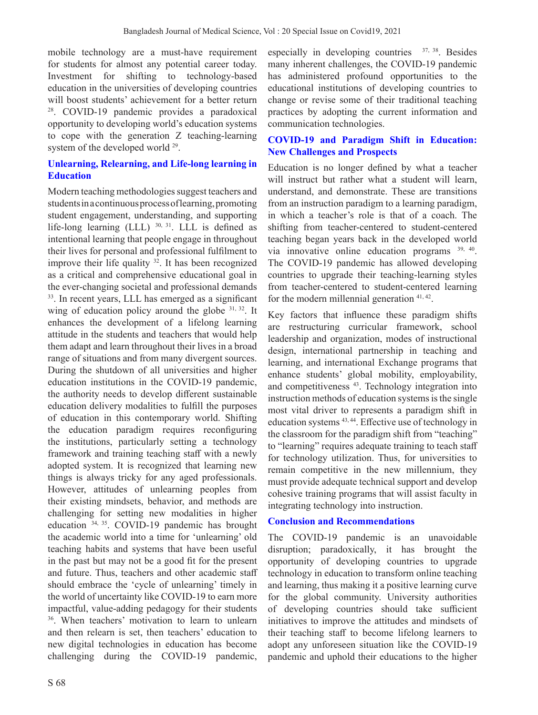mobile technology are a must-have requirement for students for almost any potential career today. Investment for shifting to technology-based education in the universities of developing countries will boost students' achievement for a better return 28. COVID-19 pandemic provides a paradoxical opportunity to developing world's education systems to cope with the generation Z teaching-learning system of the developed world 29.

### **Unlearning, Relearning, and Life-long learning in Education**

Modern teaching methodologies suggest teachers and students in a continuous process of learning, promoting student engagement, understanding, and supporting life-long learning  $(LLL)$  <sup>30, 31</sup>. LLL is defined as intentional learning that people engage in throughout their lives for personal and professional fulfilment to improve their life quality  $32$ . It has been recognized as a critical and comprehensive educational goal in the ever-changing societal and professional demands <sup>33</sup>. In recent years, LLL has emerged as a significant wing of education policy around the globe  $31, 32$ . It enhances the development of a lifelong learning attitude in the students and teachers that would help them adapt and learn throughout their lives in a broad range of situations and from many divergent sources. During the shutdown of all universities and higher education institutions in the COVID-19 pandemic, the authority needs to develop different sustainable education delivery modalities to fulfill the purposes of education in this contemporary world. Shifting the education paradigm requires reconfiguring the institutions, particularly setting a technology framework and training teaching staff with a newly adopted system. It is recognized that learning new things is always tricky for any aged professionals. However, attitudes of unlearning peoples from their existing mindsets, behavior, and methods are challenging for setting new modalities in higher education 34, 35. COVID-19 pandemic has brought the academic world into a time for 'unlearning' old teaching habits and systems that have been useful in the past but may not be a good fit for the present and future. Thus, teachers and other academic staff should embrace the 'cycle of unlearning' timely in the world of uncertainty like COVID-19 to earn more impactful, value-adding pedagogy for their students 36. When teachers' motivation to learn to unlearn and then relearn is set, then teachers' education to new digital technologies in education has become challenging during the COVID-19 pandemic, especially in developing countries  $37, 38$ . Besides many inherent challenges, the COVID-19 pandemic has administered profound opportunities to the educational institutions of developing countries to change or revise some of their traditional teaching practices by adopting the current information and communication technologies.

## **COVID-19 and Paradigm Shift in Education: New Challenges and Prospects**

Education is no longer defined by what a teacher will instruct but rather what a student will learn, understand, and demonstrate. These are transitions from an instruction paradigm to a learning paradigm, in which a teacher's role is that of a coach. The shifting from teacher-centered to student-centered teaching began years back in the developed world via innovative online education programs 39, 40. The COVID-19 pandemic has allowed developing countries to upgrade their teaching-learning styles from teacher-centered to student-centered learning for the modern millennial generation 41, 42.

Key factors that influence these paradigm shifts are restructuring curricular framework, school leadership and organization, modes of instructional design, international partnership in teaching and learning, and international Exchange programs that enhance students' global mobility, employability, and competitiveness<sup>43</sup>. Technology integration into instruction methods of education systems is the single most vital driver to represents a paradigm shift in education systems 43, 44. Effective use of technology in the classroom for the paradigm shift from "teaching" to "learning" requires adequate training to teach staff for technology utilization. Thus, for universities to remain competitive in the new millennium, they must provide adequate technical support and develop cohesive training programs that will assist faculty in integrating technology into instruction.

## **Conclusion and Recommendations**

The COVID-19 pandemic is an unavoidable disruption; paradoxically, it has brought the opportunity of developing countries to upgrade technology in education to transform online teaching and learning, thus making it a positive learning curve for the global community. University authorities of developing countries should take sufficient initiatives to improve the attitudes and mindsets of their teaching staff to become lifelong learners to adopt any unforeseen situation like the COVID-19 pandemic and uphold their educations to the higher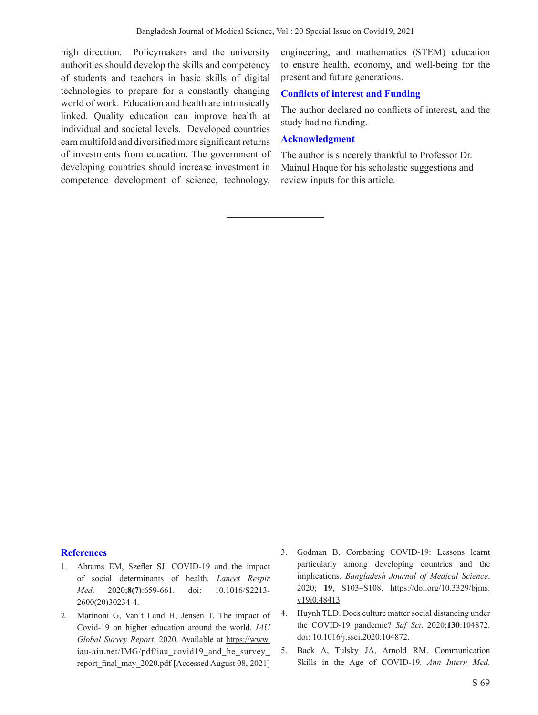high direction. Policymakers and the university authorities should develop the skills and competency of students and teachers in basic skills of digital technologies to prepare for a constantly changing world of work. Education and health are intrinsically linked. Quality education can improve health at individual and societal levels. Developed countries earn multifold and diversified more significant returns of investments from education. The government of developing countries should increase investment in competence development of science, technology,

engineering, and mathematics (STEM) education to ensure health, economy, and well-being for the present and future generations.

#### **Conflicts of interest and Funding**

The author declared no conflicts of interest, and the study had no funding.

#### **Acknowledgment**

The author is sincerely thankful to Professor Dr. Mainul Haque for his scholastic suggestions and review inputs for this article.

#### **References**

- 1. Abrams EM, Szefler SJ. COVID-19 and the impact of social determinants of health. *Lancet Respir Med*. 2020;**8(7)**:659-661. doi: 10.1016/S2213- 2600(20)30234-4.
- 2. Marinoni G, Van't Land H, Jensen T. The impact of Covid-19 on higher education around the world. *IAU Global Survey Report*. 2020. Available at https://www. iau-aiu.net/IMG/pdf/iau covid19 and he survey\_ report\_final\_may\_2020.pdf [Accessed August 08, 2021]
- 3. Godman B. Combating COVID-19: Lessons learnt particularly among developing countries and the implications. *Bangladesh Journal of Medical Science*. 2020; **19**, S103–S108. https://doi.org/10.3329/bjms. v19i0.48413
- 4. Huynh TLD. Does culture matter social distancing under the COVID-19 pandemic? *Saf Sci*. 2020;**130**:104872. doi: 10.1016/j.ssci.2020.104872.
- 5. Back A, Tulsky JA, Arnold RM. Communication Skills in the Age of COVID-19*. Ann Intern Med*.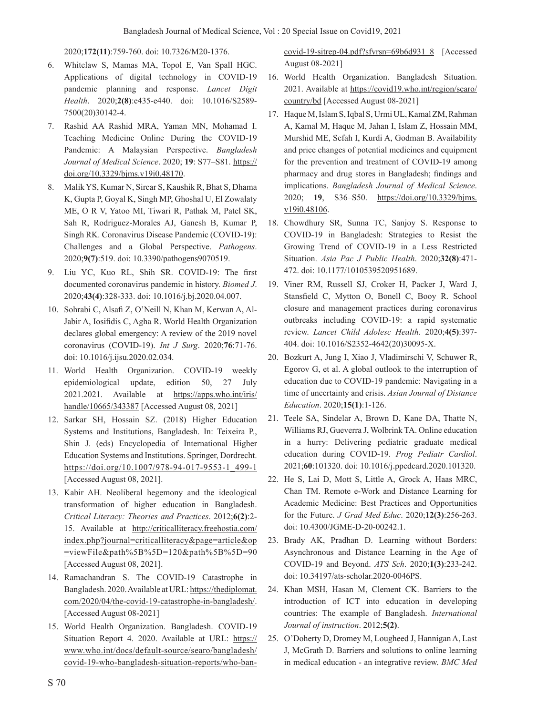2020;**172(11)**:759-760. doi: 10.7326/M20-1376.

- 6. Whitelaw S, Mamas MA, Topol E, Van Spall HGC. Applications of digital technology in COVID-19 pandemic planning and response. *Lancet Digit Health*. 2020;**2(8)**:e435-e440. doi: 10.1016/S2589- 7500(20)30142-4.
- 7. Rashid AA Rashid MRA, Yaman MN, Mohamad I. Teaching Medicine Online During the COVID-19 Pandemic: A Malaysian Perspective. *Bangladesh Journal of Medical Science*. 2020; **19**: S77–S81. https:// doi.org/10.3329/bjms.v19i0.48170.
- 8. Malik YS, Kumar N, Sircar S, Kaushik R, Bhat S, Dhama K, Gupta P, Goyal K, Singh MP, Ghoshal U, El Zowalaty ME, O R V, Yatoo MI, Tiwari R, Pathak M, Patel SK, Sah R, Rodriguez-Morales AJ, Ganesh B, Kumar P, Singh RK. Coronavirus Disease Pandemic (COVID-19): Challenges and a Global Perspective. *Pathogens*. 2020;**9(7)**:519. doi: 10.3390/pathogens9070519.
- 9. Liu YC, Kuo RL, Shih SR. COVID-19: The first documented coronavirus pandemic in history. *Biomed J*. 2020;**43(4)**:328-333. doi: 10.1016/j.bj.2020.04.007.
- 10. Sohrabi C, Alsafi Z, O'Neill N, Khan M, Kerwan A, Al-Jabir A, Iosifidis C, Agha R. World Health Organization declares global emergency: A review of the 2019 novel coronavirus (COVID-19). *Int J Surg*. 2020;**76**:71-76. doi: 10.1016/j.ijsu.2020.02.034.
- 11. World Health Organization. COVID-19 weekly epidemiological update, edition 50, 27 July 2021.2021. Available at https://apps.who.int/iris/ handle/10665/343387 [Accessed August 08, 2021]
- 12. Sarkar SH, Hossain SZ. (2018) Higher Education Systems and Institutions, Bangladesh. In: Teixeira P., Shin J. (eds) Encyclopedia of International Higher Education Systems and Institutions. Springer, Dordrecht. https://doi.org/10.1007/978-94-017-9553-1\_499-1 [Accessed August 08, 2021].
- 13. Kabir AH. Neoliberal hegemony and the ideological transformation of higher education in Bangladesh. *Critical Literacy: Theories and Practices*. 2012;**6(2)**:2- 15. Available at http://criticalliteracy.freehostia.com/ index.php?journal=criticalliteracy&page=article&op =viewFile&path%5B%5D=120&path%5B%5D=90 [Accessed August 08, 2021].
- 14. Ramachandran S. The COVID-19 Catastrophe in Bangladesh. 2020. Available at URL: https://thediplomat. com/2020/04/the-covid-19-catastrophe-in-bangladesh/. [Accessed August 08-2021]
- 15. World Health Organization. Bangladesh. COVID-19 Situation Report 4. 2020. Available at URL: https:// www.who.int/docs/default-source/searo/bangladesh/ covid-19-who-bangladesh-situation-reports/who-ban-

covid-19-sitrep-04.pdf?sfvrsn=69b6d931\_8 [Accessed August 08-2021]

- 16. World Health Organization. Bangladesh Situation. 2021. Available at https://covid19.who.int/region/searo/ country/bd [Accessed August 08-2021]
- 17. Haque M, Islam S, Iqbal S, Urmi UL, Kamal ZM, Rahman A, Kamal M, Haque M, Jahan I, Islam Z, Hossain MM, Murshid ME, Sefah I, Kurdi A, Godman B. Availability and price changes of potential medicines and equipment for the prevention and treatment of COVID-19 among pharmacy and drug stores in Bangladesh; findings and implications. *Bangladesh Journal of Medical Science*. 2020; **19**, S36–S50. https://doi.org/10.3329/bjms. v19i0.48106.
- 18. Chowdhury SR, Sunna TC, Sanjoy S. Response to COVID-19 in Bangladesh: Strategies to Resist the Growing Trend of COVID-19 in a Less Restricted Situation. *Asia Pac J Public Health*. 2020;**32(8)**:471- 472. doi: 10.1177/1010539520951689.
- 19. Viner RM, Russell SJ, Croker H, Packer J, Ward J, Stansfield C, Mytton O, Bonell C, Booy R. School closure and management practices during coronavirus outbreaks including COVID-19: a rapid systematic review. *Lancet Child Adolesc Health*. 2020;**4(5)**:397- 404. doi: 10.1016/S2352-4642(20)30095-X.
- 20. Bozkurt A, Jung I, Xiao J, Vladimirschi V, Schuwer R, Egorov G, et al. A global outlook to the interruption of education due to COVID-19 pandemic: Navigating in a time of uncertainty and crisis. *Asian Journal of Distance Education*. 2020;**15(1)**:1-126.
- 21. Teele SA, Sindelar A, Brown D, Kane DA, Thatte N, Williams RJ, Gueverra J, Wolbrink TA. Online education in a hurry: Delivering pediatric graduate medical education during COVID-19. *Prog Pediatr Cardiol*. 2021;**60**:101320. doi: 10.1016/j.ppedcard.2020.101320.
- 22. He S, Lai D, Mott S, Little A, Grock A, Haas MRC, Chan TM. Remote e-Work and Distance Learning for Academic Medicine: Best Practices and Opportunities for the Future. *J Grad Med Educ*. 2020;**12(3)**:256-263. doi: 10.4300/JGME-D-20-00242.1.
- 23. Brady AK, Pradhan D. Learning without Borders: Asynchronous and Distance Learning in the Age of COVID-19 and Beyond. *ATS Sch*. 2020;**1(3)**:233-242. doi: 10.34197/ats-scholar.2020-0046PS.
- 24. Khan MSH, Hasan M, Clement CK. Barriers to the introduction of ICT into education in developing countries: The example of Bangladesh. *International Journal of instruction*. 2012;**5(2)**.
- 25. O'Doherty D, Dromey M, Lougheed J, Hannigan A, Last J, McGrath D. Barriers and solutions to online learning in medical education - an integrative review. *BMC Med*